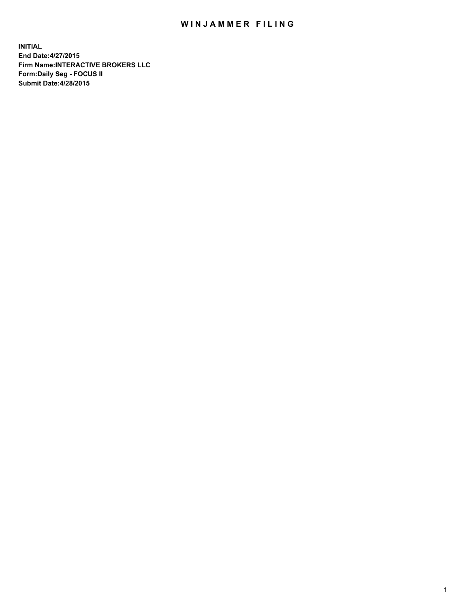## WIN JAMMER FILING

**INITIAL End Date:4/27/2015 Firm Name:INTERACTIVE BROKERS LLC Form:Daily Seg - FOCUS II Submit Date:4/28/2015**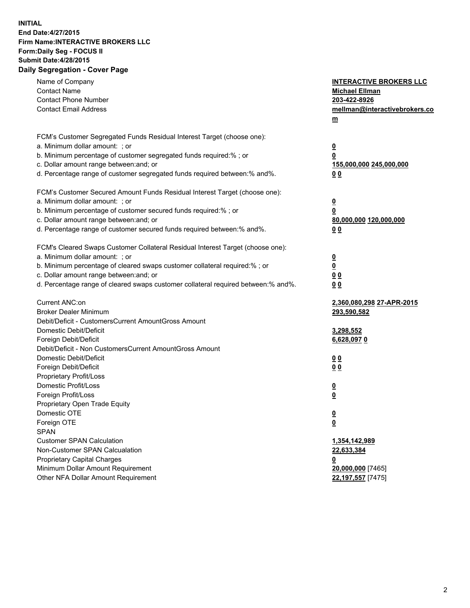## **INITIAL End Date:4/27/2015 Firm Name:INTERACTIVE BROKERS LLC Form:Daily Seg - FOCUS II Submit Date:4/28/2015 Daily Segregation - Cover Page**

| FCM's Customer Segregated Funds Residual Interest Target (choose one):<br>a. Minimum dollar amount: ; or<br>$\overline{\mathbf{0}}$<br>b. Minimum percentage of customer segregated funds required:% ; or<br>0<br>c. Dollar amount range between: and; or<br>155,000,000 245,000,000<br>d. Percentage range of customer segregated funds required between:% and%.<br>0 <sub>0</sub><br>FCM's Customer Secured Amount Funds Residual Interest Target (choose one):<br>a. Minimum dollar amount: ; or<br>$\overline{\mathbf{0}}$<br>b. Minimum percentage of customer secured funds required:% ; or<br>0<br>c. Dollar amount range between: and; or<br>80,000,000 120,000,000<br>d. Percentage range of customer secured funds required between:% and%.<br>0 <sub>0</sub><br>FCM's Cleared Swaps Customer Collateral Residual Interest Target (choose one):<br>a. Minimum dollar amount: ; or<br>$\overline{\mathbf{0}}$<br>b. Minimum percentage of cleared swaps customer collateral required:% ; or<br>$\overline{\mathbf{0}}$<br>c. Dollar amount range between: and; or<br>0 <sub>0</sub><br>d. Percentage range of cleared swaps customer collateral required between:% and%.<br>0 <sub>0</sub><br>Current ANC:on<br>2,360,080,298 27-APR-2015<br><b>Broker Dealer Minimum</b><br>293,590,582<br>Debit/Deficit - CustomersCurrent AmountGross Amount<br>Domestic Debit/Deficit<br>3,298,552<br>Foreign Debit/Deficit<br>6,628,0970<br>Debit/Deficit - Non CustomersCurrent AmountGross Amount<br>Domestic Debit/Deficit<br>0 <sub>0</sub><br>Foreign Debit/Deficit<br>0 <sub>0</sub><br>Proprietary Profit/Loss<br>Domestic Profit/Loss<br>$\overline{\mathbf{0}}$<br>Foreign Profit/Loss<br>$\underline{\mathbf{0}}$<br>Proprietary Open Trade Equity<br>Domestic OTE<br><u>0</u><br>Foreign OTE<br><u>0</u><br><b>SPAN</b><br><b>Customer SPAN Calculation</b><br>1,354,142,989<br>Non-Customer SPAN Calcualation<br>22,633,384<br>Proprietary Capital Charges<br><u>0</u><br>Minimum Dollar Amount Requirement<br>20,000,000 [7465]<br>Other NFA Dollar Amount Requirement<br>22,197,557 [7475] | Name of Company<br><b>Contact Name</b><br><b>Contact Phone Number</b><br><b>Contact Email Address</b> | <b>INTERACTIVE BROKERS LLC</b><br><b>Michael Ellman</b><br>203-422-8926<br>mellman@interactivebrokers.co<br>$m$ |
|--------------------------------------------------------------------------------------------------------------------------------------------------------------------------------------------------------------------------------------------------------------------------------------------------------------------------------------------------------------------------------------------------------------------------------------------------------------------------------------------------------------------------------------------------------------------------------------------------------------------------------------------------------------------------------------------------------------------------------------------------------------------------------------------------------------------------------------------------------------------------------------------------------------------------------------------------------------------------------------------------------------------------------------------------------------------------------------------------------------------------------------------------------------------------------------------------------------------------------------------------------------------------------------------------------------------------------------------------------------------------------------------------------------------------------------------------------------------------------------------------------------------------------------------------------------------------------------------------------------------------------------------------------------------------------------------------------------------------------------------------------------------------------------------------------------------------------------------------------------------------------------------------------------------------------------------------------------------------------------------------------------------------------------------------------------------------------------------------------|-------------------------------------------------------------------------------------------------------|-----------------------------------------------------------------------------------------------------------------|
|                                                                                                                                                                                                                                                                                                                                                                                                                                                                                                                                                                                                                                                                                                                                                                                                                                                                                                                                                                                                                                                                                                                                                                                                                                                                                                                                                                                                                                                                                                                                                                                                                                                                                                                                                                                                                                                                                                                                                                                                                                                                                                        |                                                                                                       |                                                                                                                 |
|                                                                                                                                                                                                                                                                                                                                                                                                                                                                                                                                                                                                                                                                                                                                                                                                                                                                                                                                                                                                                                                                                                                                                                                                                                                                                                                                                                                                                                                                                                                                                                                                                                                                                                                                                                                                                                                                                                                                                                                                                                                                                                        |                                                                                                       |                                                                                                                 |
|                                                                                                                                                                                                                                                                                                                                                                                                                                                                                                                                                                                                                                                                                                                                                                                                                                                                                                                                                                                                                                                                                                                                                                                                                                                                                                                                                                                                                                                                                                                                                                                                                                                                                                                                                                                                                                                                                                                                                                                                                                                                                                        |                                                                                                       |                                                                                                                 |
|                                                                                                                                                                                                                                                                                                                                                                                                                                                                                                                                                                                                                                                                                                                                                                                                                                                                                                                                                                                                                                                                                                                                                                                                                                                                                                                                                                                                                                                                                                                                                                                                                                                                                                                                                                                                                                                                                                                                                                                                                                                                                                        |                                                                                                       |                                                                                                                 |
|                                                                                                                                                                                                                                                                                                                                                                                                                                                                                                                                                                                                                                                                                                                                                                                                                                                                                                                                                                                                                                                                                                                                                                                                                                                                                                                                                                                                                                                                                                                                                                                                                                                                                                                                                                                                                                                                                                                                                                                                                                                                                                        |                                                                                                       |                                                                                                                 |
|                                                                                                                                                                                                                                                                                                                                                                                                                                                                                                                                                                                                                                                                                                                                                                                                                                                                                                                                                                                                                                                                                                                                                                                                                                                                                                                                                                                                                                                                                                                                                                                                                                                                                                                                                                                                                                                                                                                                                                                                                                                                                                        |                                                                                                       |                                                                                                                 |
|                                                                                                                                                                                                                                                                                                                                                                                                                                                                                                                                                                                                                                                                                                                                                                                                                                                                                                                                                                                                                                                                                                                                                                                                                                                                                                                                                                                                                                                                                                                                                                                                                                                                                                                                                                                                                                                                                                                                                                                                                                                                                                        |                                                                                                       |                                                                                                                 |
|                                                                                                                                                                                                                                                                                                                                                                                                                                                                                                                                                                                                                                                                                                                                                                                                                                                                                                                                                                                                                                                                                                                                                                                                                                                                                                                                                                                                                                                                                                                                                                                                                                                                                                                                                                                                                                                                                                                                                                                                                                                                                                        |                                                                                                       |                                                                                                                 |
|                                                                                                                                                                                                                                                                                                                                                                                                                                                                                                                                                                                                                                                                                                                                                                                                                                                                                                                                                                                                                                                                                                                                                                                                                                                                                                                                                                                                                                                                                                                                                                                                                                                                                                                                                                                                                                                                                                                                                                                                                                                                                                        |                                                                                                       |                                                                                                                 |
|                                                                                                                                                                                                                                                                                                                                                                                                                                                                                                                                                                                                                                                                                                                                                                                                                                                                                                                                                                                                                                                                                                                                                                                                                                                                                                                                                                                                                                                                                                                                                                                                                                                                                                                                                                                                                                                                                                                                                                                                                                                                                                        |                                                                                                       |                                                                                                                 |
|                                                                                                                                                                                                                                                                                                                                                                                                                                                                                                                                                                                                                                                                                                                                                                                                                                                                                                                                                                                                                                                                                                                                                                                                                                                                                                                                                                                                                                                                                                                                                                                                                                                                                                                                                                                                                                                                                                                                                                                                                                                                                                        |                                                                                                       |                                                                                                                 |
|                                                                                                                                                                                                                                                                                                                                                                                                                                                                                                                                                                                                                                                                                                                                                                                                                                                                                                                                                                                                                                                                                                                                                                                                                                                                                                                                                                                                                                                                                                                                                                                                                                                                                                                                                                                                                                                                                                                                                                                                                                                                                                        |                                                                                                       |                                                                                                                 |
|                                                                                                                                                                                                                                                                                                                                                                                                                                                                                                                                                                                                                                                                                                                                                                                                                                                                                                                                                                                                                                                                                                                                                                                                                                                                                                                                                                                                                                                                                                                                                                                                                                                                                                                                                                                                                                                                                                                                                                                                                                                                                                        |                                                                                                       |                                                                                                                 |
|                                                                                                                                                                                                                                                                                                                                                                                                                                                                                                                                                                                                                                                                                                                                                                                                                                                                                                                                                                                                                                                                                                                                                                                                                                                                                                                                                                                                                                                                                                                                                                                                                                                                                                                                                                                                                                                                                                                                                                                                                                                                                                        |                                                                                                       |                                                                                                                 |
|                                                                                                                                                                                                                                                                                                                                                                                                                                                                                                                                                                                                                                                                                                                                                                                                                                                                                                                                                                                                                                                                                                                                                                                                                                                                                                                                                                                                                                                                                                                                                                                                                                                                                                                                                                                                                                                                                                                                                                                                                                                                                                        |                                                                                                       |                                                                                                                 |
|                                                                                                                                                                                                                                                                                                                                                                                                                                                                                                                                                                                                                                                                                                                                                                                                                                                                                                                                                                                                                                                                                                                                                                                                                                                                                                                                                                                                                                                                                                                                                                                                                                                                                                                                                                                                                                                                                                                                                                                                                                                                                                        |                                                                                                       |                                                                                                                 |
|                                                                                                                                                                                                                                                                                                                                                                                                                                                                                                                                                                                                                                                                                                                                                                                                                                                                                                                                                                                                                                                                                                                                                                                                                                                                                                                                                                                                                                                                                                                                                                                                                                                                                                                                                                                                                                                                                                                                                                                                                                                                                                        |                                                                                                       |                                                                                                                 |
|                                                                                                                                                                                                                                                                                                                                                                                                                                                                                                                                                                                                                                                                                                                                                                                                                                                                                                                                                                                                                                                                                                                                                                                                                                                                                                                                                                                                                                                                                                                                                                                                                                                                                                                                                                                                                                                                                                                                                                                                                                                                                                        |                                                                                                       |                                                                                                                 |
|                                                                                                                                                                                                                                                                                                                                                                                                                                                                                                                                                                                                                                                                                                                                                                                                                                                                                                                                                                                                                                                                                                                                                                                                                                                                                                                                                                                                                                                                                                                                                                                                                                                                                                                                                                                                                                                                                                                                                                                                                                                                                                        |                                                                                                       |                                                                                                                 |
|                                                                                                                                                                                                                                                                                                                                                                                                                                                                                                                                                                                                                                                                                                                                                                                                                                                                                                                                                                                                                                                                                                                                                                                                                                                                                                                                                                                                                                                                                                                                                                                                                                                                                                                                                                                                                                                                                                                                                                                                                                                                                                        |                                                                                                       |                                                                                                                 |
|                                                                                                                                                                                                                                                                                                                                                                                                                                                                                                                                                                                                                                                                                                                                                                                                                                                                                                                                                                                                                                                                                                                                                                                                                                                                                                                                                                                                                                                                                                                                                                                                                                                                                                                                                                                                                                                                                                                                                                                                                                                                                                        |                                                                                                       |                                                                                                                 |
|                                                                                                                                                                                                                                                                                                                                                                                                                                                                                                                                                                                                                                                                                                                                                                                                                                                                                                                                                                                                                                                                                                                                                                                                                                                                                                                                                                                                                                                                                                                                                                                                                                                                                                                                                                                                                                                                                                                                                                                                                                                                                                        |                                                                                                       |                                                                                                                 |
|                                                                                                                                                                                                                                                                                                                                                                                                                                                                                                                                                                                                                                                                                                                                                                                                                                                                                                                                                                                                                                                                                                                                                                                                                                                                                                                                                                                                                                                                                                                                                                                                                                                                                                                                                                                                                                                                                                                                                                                                                                                                                                        |                                                                                                       |                                                                                                                 |
|                                                                                                                                                                                                                                                                                                                                                                                                                                                                                                                                                                                                                                                                                                                                                                                                                                                                                                                                                                                                                                                                                                                                                                                                                                                                                                                                                                                                                                                                                                                                                                                                                                                                                                                                                                                                                                                                                                                                                                                                                                                                                                        |                                                                                                       |                                                                                                                 |
|                                                                                                                                                                                                                                                                                                                                                                                                                                                                                                                                                                                                                                                                                                                                                                                                                                                                                                                                                                                                                                                                                                                                                                                                                                                                                                                                                                                                                                                                                                                                                                                                                                                                                                                                                                                                                                                                                                                                                                                                                                                                                                        |                                                                                                       |                                                                                                                 |
|                                                                                                                                                                                                                                                                                                                                                                                                                                                                                                                                                                                                                                                                                                                                                                                                                                                                                                                                                                                                                                                                                                                                                                                                                                                                                                                                                                                                                                                                                                                                                                                                                                                                                                                                                                                                                                                                                                                                                                                                                                                                                                        |                                                                                                       |                                                                                                                 |
|                                                                                                                                                                                                                                                                                                                                                                                                                                                                                                                                                                                                                                                                                                                                                                                                                                                                                                                                                                                                                                                                                                                                                                                                                                                                                                                                                                                                                                                                                                                                                                                                                                                                                                                                                                                                                                                                                                                                                                                                                                                                                                        |                                                                                                       |                                                                                                                 |
|                                                                                                                                                                                                                                                                                                                                                                                                                                                                                                                                                                                                                                                                                                                                                                                                                                                                                                                                                                                                                                                                                                                                                                                                                                                                                                                                                                                                                                                                                                                                                                                                                                                                                                                                                                                                                                                                                                                                                                                                                                                                                                        |                                                                                                       |                                                                                                                 |
|                                                                                                                                                                                                                                                                                                                                                                                                                                                                                                                                                                                                                                                                                                                                                                                                                                                                                                                                                                                                                                                                                                                                                                                                                                                                                                                                                                                                                                                                                                                                                                                                                                                                                                                                                                                                                                                                                                                                                                                                                                                                                                        |                                                                                                       |                                                                                                                 |
|                                                                                                                                                                                                                                                                                                                                                                                                                                                                                                                                                                                                                                                                                                                                                                                                                                                                                                                                                                                                                                                                                                                                                                                                                                                                                                                                                                                                                                                                                                                                                                                                                                                                                                                                                                                                                                                                                                                                                                                                                                                                                                        |                                                                                                       |                                                                                                                 |
|                                                                                                                                                                                                                                                                                                                                                                                                                                                                                                                                                                                                                                                                                                                                                                                                                                                                                                                                                                                                                                                                                                                                                                                                                                                                                                                                                                                                                                                                                                                                                                                                                                                                                                                                                                                                                                                                                                                                                                                                                                                                                                        |                                                                                                       |                                                                                                                 |
|                                                                                                                                                                                                                                                                                                                                                                                                                                                                                                                                                                                                                                                                                                                                                                                                                                                                                                                                                                                                                                                                                                                                                                                                                                                                                                                                                                                                                                                                                                                                                                                                                                                                                                                                                                                                                                                                                                                                                                                                                                                                                                        |                                                                                                       |                                                                                                                 |
|                                                                                                                                                                                                                                                                                                                                                                                                                                                                                                                                                                                                                                                                                                                                                                                                                                                                                                                                                                                                                                                                                                                                                                                                                                                                                                                                                                                                                                                                                                                                                                                                                                                                                                                                                                                                                                                                                                                                                                                                                                                                                                        |                                                                                                       |                                                                                                                 |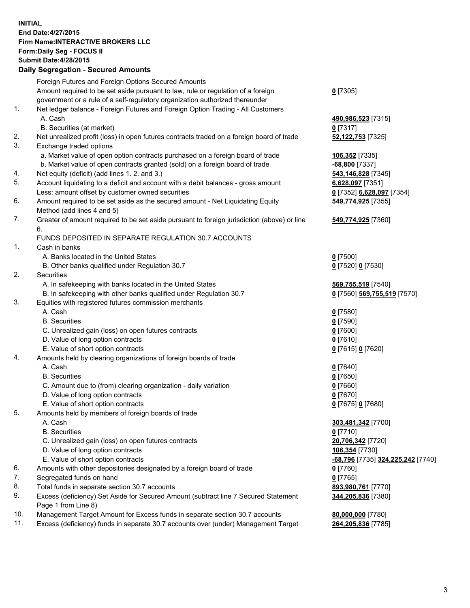## **INITIAL End Date:4/27/2015 Firm Name:INTERACTIVE BROKERS LLC Form:Daily Seg - FOCUS II Submit Date:4/28/2015 Daily Segregation - Secured Amounts**

|     | Dany Ocgregation - Oceanea Annoanta                                                         |                                                |
|-----|---------------------------------------------------------------------------------------------|------------------------------------------------|
|     | Foreign Futures and Foreign Options Secured Amounts                                         |                                                |
|     | Amount required to be set aside pursuant to law, rule or regulation of a foreign            | $0$ [7305]                                     |
|     | government or a rule of a self-regulatory organization authorized thereunder                |                                                |
| 1.  | Net ledger balance - Foreign Futures and Foreign Option Trading - All Customers             |                                                |
|     | A. Cash                                                                                     | 490,986,523 [7315]                             |
|     | B. Securities (at market)                                                                   | $0$ [7317]                                     |
| 2.  | Net unrealized profit (loss) in open futures contracts traded on a foreign board of trade   | 52,122,753 [7325]                              |
| 3.  | Exchange traded options                                                                     |                                                |
|     | a. Market value of open option contracts purchased on a foreign board of trade              | 106,352 [7335]                                 |
|     | b. Market value of open contracts granted (sold) on a foreign board of trade                | <u>-68,800</u> [7337]                          |
| 4.  | Net equity (deficit) (add lines 1.2. and 3.)                                                | 543,146,828 [7345]                             |
| 5.  | Account liquidating to a deficit and account with a debit balances - gross amount           | 6,628,097 [7351]                               |
|     | Less: amount offset by customer owned securities                                            | 0 [7352] 6,628,097 [7354]                      |
| 6.  | Amount required to be set aside as the secured amount - Net Liquidating Equity              | 549,774,925 [7355]                             |
|     | Method (add lines 4 and 5)                                                                  |                                                |
| 7.  | Greater of amount required to be set aside pursuant to foreign jurisdiction (above) or line | 549,774,925 [7360]                             |
|     | 6.                                                                                          |                                                |
|     | FUNDS DEPOSITED IN SEPARATE REGULATION 30.7 ACCOUNTS                                        |                                                |
| 1.  | Cash in banks                                                                               |                                                |
|     | A. Banks located in the United States                                                       | $0$ [7500]                                     |
|     | B. Other banks qualified under Regulation 30.7                                              | 0 [7520] 0 [7530]                              |
| 2.  | Securities                                                                                  |                                                |
|     | A. In safekeeping with banks located in the United States                                   | 569,755,519 [7540]                             |
|     | B. In safekeeping with other banks qualified under Regulation 30.7                          | 0 [7560] 569,755,519 [7570]                    |
| 3.  | Equities with registered futures commission merchants                                       |                                                |
|     | A. Cash                                                                                     | $0$ [7580]                                     |
|     | <b>B.</b> Securities                                                                        | $0$ [7590]                                     |
|     | C. Unrealized gain (loss) on open futures contracts                                         | $0$ [7600]                                     |
|     | D. Value of long option contracts                                                           | $0$ [7610]                                     |
|     | E. Value of short option contracts                                                          | 0 [7615] 0 [7620]                              |
| 4.  | Amounts held by clearing organizations of foreign boards of trade                           |                                                |
|     | A. Cash                                                                                     | $0$ [7640]                                     |
|     | <b>B.</b> Securities                                                                        | $0$ [7650]                                     |
|     | C. Amount due to (from) clearing organization - daily variation                             | $0$ [7660]                                     |
|     | D. Value of long option contracts                                                           | $0$ [7670]                                     |
|     | E. Value of short option contracts                                                          | 0 [7675] 0 [7680]                              |
| 5.  | Amounts held by members of foreign boards of trade                                          |                                                |
|     | A. Cash                                                                                     | 303,481,342 [7700]                             |
|     | <b>B.</b> Securities                                                                        | $0$ [7710]                                     |
|     | C. Unrealized gain (loss) on open futures contracts                                         | 20,706,342 [7720]                              |
|     | D. Value of long option contracts                                                           | 106,354 [7730]                                 |
|     | E. Value of short option contracts                                                          | <mark>-68,796</mark> [7735] 324,225,242 [7740] |
| 6.  | Amounts with other depositories designated by a foreign board of trade                      | 0 [7760]                                       |
| 7.  | Segregated funds on hand                                                                    | $0$ [7765]                                     |
| 8.  | Total funds in separate section 30.7 accounts                                               | 893,980,761 [7770]                             |
| 9.  | Excess (deficiency) Set Aside for Secured Amount (subtract line 7 Secured Statement         | 344,205,836 [7380]                             |
|     | Page 1 from Line 8)                                                                         |                                                |
| 10. | Management Target Amount for Excess funds in separate section 30.7 accounts                 | 80,000,000 [7780]                              |
| 11. | Excess (deficiency) funds in separate 30.7 accounts over (under) Management Target          | 264,205,836 [7785]                             |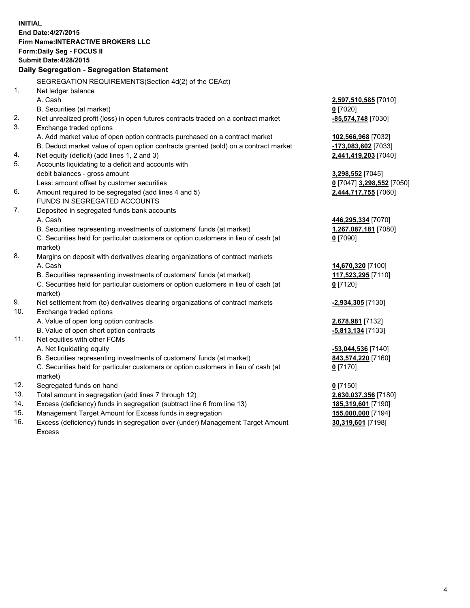**INITIAL End Date:4/27/2015 Firm Name:INTERACTIVE BROKERS LLC Form:Daily Seg - FOCUS II Submit Date:4/28/2015 Daily Segregation - Segregation Statement** SEGREGATION REQUIREMENTS(Section 4d(2) of the CEAct) 1. Net ledger balance A. Cash **2,597,510,585** [7010] B. Securities (at market) **0** [7020] 2. Net unrealized profit (loss) in open futures contracts traded on a contract market **-85,574,748** [7030] 3. Exchange traded options A. Add market value of open option contracts purchased on a contract market **102,566,968** [7032] B. Deduct market value of open option contracts granted (sold) on a contract market **-173,083,602** [7033] 4. Net equity (deficit) (add lines 1, 2 and 3) **2,441,419,203** [7040] 5. Accounts liquidating to a deficit and accounts with debit balances - gross amount **3,298,552** [7045] Less: amount offset by customer securities **0** [7047] **3,298,552** [7050] 6. Amount required to be segregated (add lines 4 and 5) **2,444,717,755** [7060] FUNDS IN SEGREGATED ACCOUNTS 7. Deposited in segregated funds bank accounts A. Cash **446,295,334** [7070] B. Securities representing investments of customers' funds (at market) **1,267,087,181** [7080] C. Securities held for particular customers or option customers in lieu of cash (at market) **0** [7090] 8. Margins on deposit with derivatives clearing organizations of contract markets A. Cash **14,670,320** [7100] B. Securities representing investments of customers' funds (at market) **117,523,295** [7110] C. Securities held for particular customers or option customers in lieu of cash (at market) **0** [7120] 9. Net settlement from (to) derivatives clearing organizations of contract markets **-2,934,305** [7130] 10. Exchange traded options A. Value of open long option contracts **2,678,981** [7132] B. Value of open short option contracts **-5,813,134** [7133] 11. Net equities with other FCMs A. Net liquidating equity **-53,044,536** [7140] B. Securities representing investments of customers' funds (at market) **843,574,220** [7160] C. Securities held for particular customers or option customers in lieu of cash (at market) **0** [7170] 12. Segregated funds on hand **0** [7150] 13. Total amount in segregation (add lines 7 through 12) **2,630,037,356** [7180] 14. Excess (deficiency) funds in segregation (subtract line 6 from line 13) **185,319,601** [7190] 15. Management Target Amount for Excess funds in segregation **155,000,000** [7194]

16. Excess (deficiency) funds in segregation over (under) Management Target Amount Excess

**30,319,601** [7198]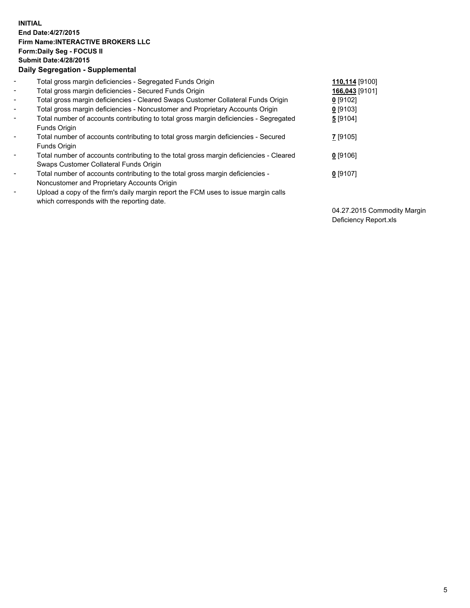## **INITIAL End Date:4/27/2015 Firm Name:INTERACTIVE BROKERS LLC Form:Daily Seg - FOCUS II Submit Date:4/28/2015 Daily Segregation - Supplemental**

| $\blacksquare$           | Total gross margin deficiencies - Segregated Funds Origin                              | 110,114 [9100] |
|--------------------------|----------------------------------------------------------------------------------------|----------------|
| $\blacksquare$           | Total gross margin deficiencies - Secured Funds Origin                                 | 166,043 [9101] |
| $\blacksquare$           | Total gross margin deficiencies - Cleared Swaps Customer Collateral Funds Origin       | $0$ [9102]     |
| $\blacksquare$           | Total gross margin deficiencies - Noncustomer and Proprietary Accounts Origin          | $0$ [9103]     |
| $\blacksquare$           | Total number of accounts contributing to total gross margin deficiencies - Segregated  | 5 [9104]       |
|                          | Funds Origin                                                                           |                |
| $\blacksquare$           | Total number of accounts contributing to total gross margin deficiencies - Secured     | 7 [9105]       |
|                          | Funds Origin                                                                           |                |
| $\overline{\phantom{a}}$ | Total number of accounts contributing to the total gross margin deficiencies - Cleared | $0$ [9106]     |
|                          | Swaps Customer Collateral Funds Origin                                                 |                |
| -                        | Total number of accounts contributing to the total gross margin deficiencies -         | $0$ [9107]     |
|                          | Noncustomer and Proprietary Accounts Origin                                            |                |
| $\blacksquare$           | Upload a copy of the firm's daily margin report the FCM uses to issue margin calls     |                |
|                          | which corresponds with the reporting date.                                             |                |

04.27.2015 Commodity Margin Deficiency Report.xls